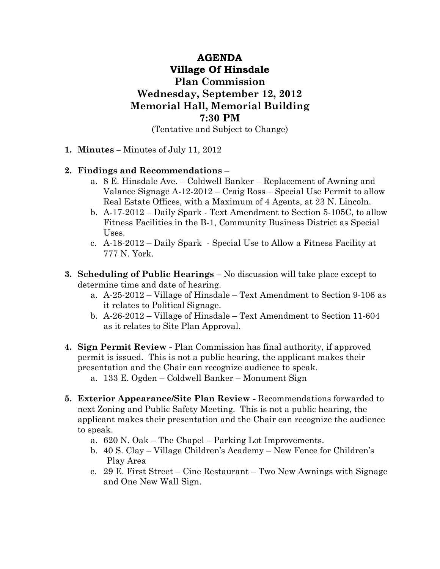## AGENDA Village Of Hinsdale Plan Commission Wednesday, September 12, 2012 Memorial Hall, Memorial Building 7:30 PM

(Tentative and Subject to Change)

1. Minutes – Minutes of July 11, 2012

## 2. Findings and Recommendations –

- a. 8 E. Hinsdale Ave. Coldwell Banker Replacement of Awning and Valance Signage A-12-2012 – Craig Ross – Special Use Permit to allow Real Estate Offices, with a Maximum of 4 Agents, at 23 N. Lincoln.
- b. A-17-2012 Daily Spark Text Amendment to Section 5-105C, to allow Fitness Facilities in the B-1, Community Business District as Special Uses.
- c. A-18-2012 Daily Spark Special Use to Allow a Fitness Facility at 777 N. York.
- 3. Scheduling of Public Hearings No discussion will take place except to determine time and date of hearing.
	- a. A-25-2012 Village of Hinsdale Text Amendment to Section 9-106 as it relates to Political Signage.
	- b. A-26-2012 Village of Hinsdale Text Amendment to Section 11-604 as it relates to Site Plan Approval.
- 4. Sign Permit Review Plan Commission has final authority, if approved permit is issued. This is not a public hearing, the applicant makes their presentation and the Chair can recognize audience to speak.
	- a. 133 E. Ogden Coldwell Banker Monument Sign
- 5. Exterior Appearance/Site Plan Review Recommendations forwarded to next Zoning and Public Safety Meeting. This is not a public hearing, the applicant makes their presentation and the Chair can recognize the audience to speak.
	- a. 620 N. Oak The Chapel Parking Lot Improvements.
	- b. 40 S. Clay Village Children's Academy New Fence for Children's Play Area
	- c. 29 E. First Street Cine Restaurant Two New Awnings with Signage and One New Wall Sign.